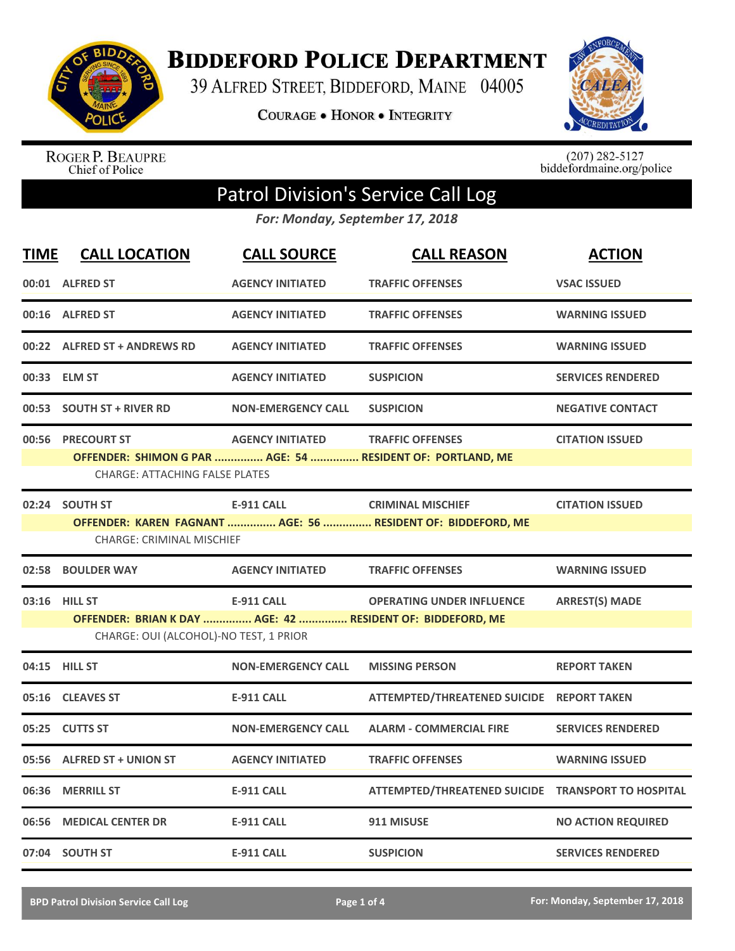

**BIDDEFORD POLICE DEPARTMENT** 

39 ALFRED STREET, BIDDEFORD, MAINE 04005

**COURAGE . HONOR . INTEGRITY** 



ROGER P. BEAUPRE<br>Chief of Police

 $(207)$  282-5127<br>biddefordmaine.org/police

## Patrol Division's Service Call Log

*For: Monday, September 17, 2018*

| <b>TIME</b> | <b>CALL LOCATION</b>                                                                                 | <b>CALL SOURCE</b>        | <b>CALL REASON</b>                                           | <b>ACTION</b>             |
|-------------|------------------------------------------------------------------------------------------------------|---------------------------|--------------------------------------------------------------|---------------------------|
|             | 00:01 ALFRED ST                                                                                      | <b>AGENCY INITIATED</b>   | <b>TRAFFIC OFFENSES</b>                                      | <b>VSAC ISSUED</b>        |
|             | 00:16 ALFRED ST                                                                                      | <b>AGENCY INITIATED</b>   | <b>TRAFFIC OFFENSES</b>                                      | <b>WARNING ISSUED</b>     |
|             | 00:22 ALFRED ST + ANDREWS RD                                                                         | <b>AGENCY INITIATED</b>   | <b>TRAFFIC OFFENSES</b>                                      | <b>WARNING ISSUED</b>     |
|             | 00:33 ELM ST                                                                                         | <b>AGENCY INITIATED</b>   | <b>SUSPICION</b>                                             | <b>SERVICES RENDERED</b>  |
|             | 00:53 SOUTH ST + RIVER RD                                                                            | <b>NON-EMERGENCY CALL</b> | <b>SUSPICION</b>                                             | <b>NEGATIVE CONTACT</b>   |
|             | 00:56 PRECOURT ST                                                                                    | <b>AGENCY INITIATED</b>   | <b>TRAFFIC OFFENSES</b>                                      | <b>CITATION ISSUED</b>    |
|             | <b>CHARGE: ATTACHING FALSE PLATES</b>                                                                |                           | OFFENDER: SHIMON G PAR  AGE: 54  RESIDENT OF: PORTLAND, ME   |                           |
|             | 02:24 SOUTH ST                                                                                       | <b>E-911 CALL</b>         | <b>CRIMINAL MISCHIEF</b>                                     | <b>CITATION ISSUED</b>    |
|             | <b>CHARGE: CRIMINAL MISCHIEF</b>                                                                     |                           | OFFENDER: KAREN FAGNANT  AGE: 56  RESIDENT OF: BIDDEFORD, ME |                           |
|             | 02:58 BOULDER WAY                                                                                    | <b>AGENCY INITIATED</b>   | <b>TRAFFIC OFFENSES</b>                                      | <b>WARNING ISSUED</b>     |
| 03:16       | <b>HILL ST</b>                                                                                       | <b>E-911 CALL</b>         | <b>OPERATING UNDER INFLUENCE</b>                             | <b>ARREST(S) MADE</b>     |
|             | OFFENDER: BRIAN K DAY  AGE: 42  RESIDENT OF: BIDDEFORD, ME<br>CHARGE: OUI (ALCOHOL)-NO TEST, 1 PRIOR |                           |                                                              |                           |
|             | 04:15 HILL ST                                                                                        | <b>NON-EMERGENCY CALL</b> | <b>MISSING PERSON</b>                                        | <b>REPORT TAKEN</b>       |
| 05:16       | <b>CLEAVES ST</b>                                                                                    | <b>E-911 CALL</b>         | ATTEMPTED/THREATENED SUICIDE REPORT TAKEN                    |                           |
|             | 05:25 CUTTS ST                                                                                       | <b>NON-EMERGENCY CALL</b> | <b>ALARM - COMMERCIAL FIRE</b>                               | <b>SERVICES RENDERED</b>  |
|             | 05:56 ALFRED ST + UNION ST                                                                           | <b>AGENCY INITIATED</b>   | <b>TRAFFIC OFFENSES</b>                                      | <b>WARNING ISSUED</b>     |
| 06:36       | <b>MERRILL ST</b>                                                                                    | <b>E-911 CALL</b>         | ATTEMPTED/THREATENED SUICIDE TRANSPORT TO HOSPITAL           |                           |
| 06:56       | <b>MEDICAL CENTER DR</b>                                                                             | <b>E-911 CALL</b>         | 911 MISUSE                                                   | <b>NO ACTION REQUIRED</b> |
|             | 07:04 SOUTH ST                                                                                       | <b>E-911 CALL</b>         | <b>SUSPICION</b>                                             | <b>SERVICES RENDERED</b>  |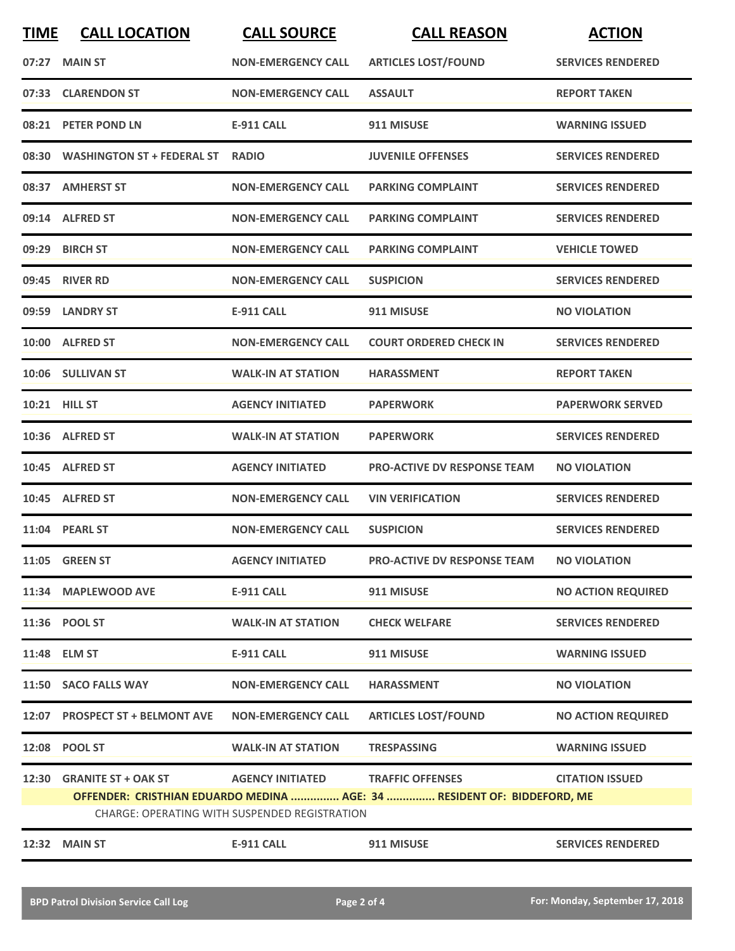| <b>TIME</b>                                                                                                                     | <b>CALL LOCATION</b>             | <b>CALL SOURCE</b>        | <b>CALL REASON</b>                 | <b>ACTION</b>             |
|---------------------------------------------------------------------------------------------------------------------------------|----------------------------------|---------------------------|------------------------------------|---------------------------|
| 07:27                                                                                                                           | <b>MAIN ST</b>                   | <b>NON-EMERGENCY CALL</b> | <b>ARTICLES LOST/FOUND</b>         | <b>SERVICES RENDERED</b>  |
|                                                                                                                                 | 07:33 CLARENDON ST               | <b>NON-EMERGENCY CALL</b> | <b>ASSAULT</b>                     | <b>REPORT TAKEN</b>       |
|                                                                                                                                 | 08:21 PETER POND LN              | <b>E-911 CALL</b>         | 911 MISUSE                         | <b>WARNING ISSUED</b>     |
|                                                                                                                                 | 08:30 WASHINGTON ST + FEDERAL ST | <b>RADIO</b>              | <b>JUVENILE OFFENSES</b>           | <b>SERVICES RENDERED</b>  |
|                                                                                                                                 | 08:37 AMHERST ST                 | <b>NON-EMERGENCY CALL</b> | <b>PARKING COMPLAINT</b>           | <b>SERVICES RENDERED</b>  |
|                                                                                                                                 | 09:14 ALFRED ST                  | <b>NON-EMERGENCY CALL</b> | <b>PARKING COMPLAINT</b>           | <b>SERVICES RENDERED</b>  |
|                                                                                                                                 | 09:29 BIRCH ST                   | <b>NON-EMERGENCY CALL</b> | <b>PARKING COMPLAINT</b>           | <b>VEHICLE TOWED</b>      |
|                                                                                                                                 | 09:45 RIVER RD                   | <b>NON-EMERGENCY CALL</b> | <b>SUSPICION</b>                   | <b>SERVICES RENDERED</b>  |
|                                                                                                                                 | 09:59 LANDRY ST                  | <b>E-911 CALL</b>         | 911 MISUSE                         | <b>NO VIOLATION</b>       |
|                                                                                                                                 | 10:00 ALFRED ST                  | <b>NON-EMERGENCY CALL</b> | <b>COURT ORDERED CHECK IN</b>      | <b>SERVICES RENDERED</b>  |
|                                                                                                                                 | 10:06 SULLIVAN ST                | <b>WALK-IN AT STATION</b> | <b>HARASSMENT</b>                  | <b>REPORT TAKEN</b>       |
|                                                                                                                                 | 10:21 HILL ST                    | <b>AGENCY INITIATED</b>   | <b>PAPERWORK</b>                   | <b>PAPERWORK SERVED</b>   |
|                                                                                                                                 | 10:36 ALFRED ST                  | <b>WALK-IN AT STATION</b> | <b>PAPERWORK</b>                   | <b>SERVICES RENDERED</b>  |
|                                                                                                                                 | 10:45 ALFRED ST                  | <b>AGENCY INITIATED</b>   | <b>PRO-ACTIVE DV RESPONSE TEAM</b> | <b>NO VIOLATION</b>       |
|                                                                                                                                 | 10:45 ALFRED ST                  | <b>NON-EMERGENCY CALL</b> | <b>VIN VERIFICATION</b>            | <b>SERVICES RENDERED</b>  |
|                                                                                                                                 | 11:04 PEARL ST                   | <b>NON-EMERGENCY CALL</b> | <b>SUSPICION</b>                   | <b>SERVICES RENDERED</b>  |
|                                                                                                                                 | 11:05 GREEN ST                   | <b>AGENCY INITIATED</b>   | <b>PRO-ACTIVE DV RESPONSE TEAM</b> | <b>NO VIOLATION</b>       |
|                                                                                                                                 | 11:34 MAPLEWOOD AVE              | <b>E-911 CALL</b>         | 911 MISUSE                         | <b>NO ACTION REQUIRED</b> |
|                                                                                                                                 | 11:36 POOL ST                    | <b>WALK-IN AT STATION</b> | <b>CHECK WELFARE</b>               | <b>SERVICES RENDERED</b>  |
|                                                                                                                                 | 11:48 ELM ST                     | <b>E-911 CALL</b>         | 911 MISUSE                         | <b>WARNING ISSUED</b>     |
|                                                                                                                                 | 11:50 SACO FALLS WAY             | <b>NON-EMERGENCY CALL</b> | <b>HARASSMENT</b>                  | <b>NO VIOLATION</b>       |
|                                                                                                                                 | 12:07 PROSPECT ST + BELMONT AVE  | <b>NON-EMERGENCY CALL</b> | <b>ARTICLES LOST/FOUND</b>         | <b>NO ACTION REQUIRED</b> |
|                                                                                                                                 | 12:08 POOL ST                    | <b>WALK-IN AT STATION</b> | <b>TRESPASSING</b>                 | <b>WARNING ISSUED</b>     |
| 12:30                                                                                                                           | <b>GRANITE ST + OAK ST</b>       | <b>AGENCY INITIATED</b>   | <b>TRAFFIC OFFENSES</b>            | <b>CITATION ISSUED</b>    |
| OFFENDER: CRISTHIAN EDUARDO MEDINA  AGE: 34  RESIDENT OF: BIDDEFORD, ME<br><b>CHARGE: OPERATING WITH SUSPENDED REGISTRATION</b> |                                  |                           |                                    |                           |
| 12:32                                                                                                                           | <b>MAIN ST</b>                   | <b>E-911 CALL</b>         | 911 MISUSE                         | <b>SERVICES RENDERED</b>  |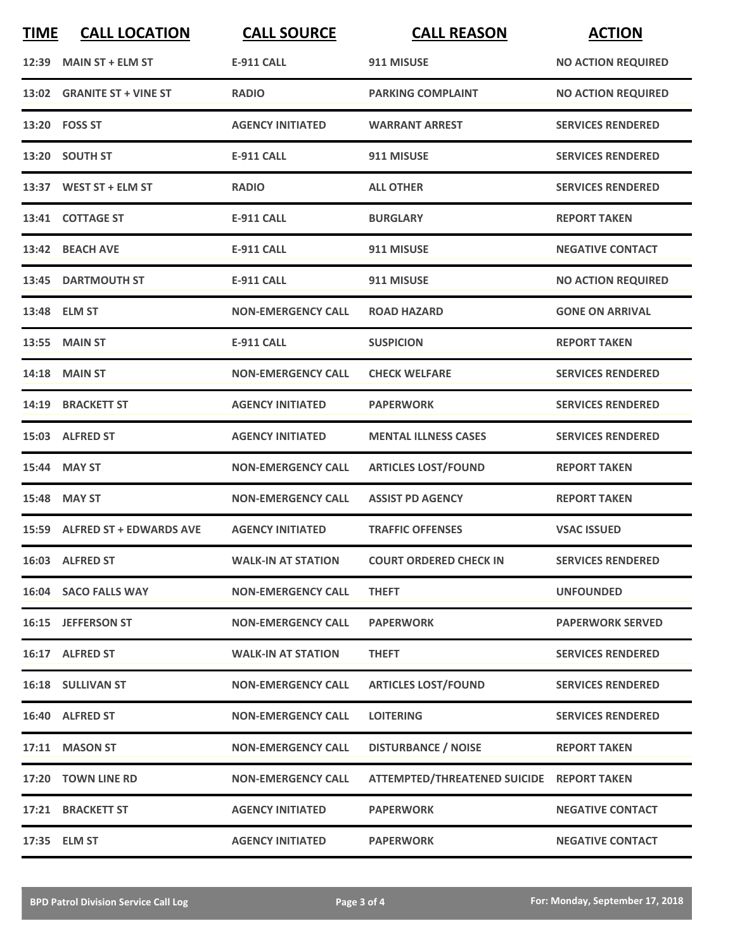| <b>TIME</b> | <b>CALL LOCATION</b>          | <b>CALL SOURCE</b>        | <b>CALL REASON</b>                        | <b>ACTION</b>             |
|-------------|-------------------------------|---------------------------|-------------------------------------------|---------------------------|
|             | 12:39 MAIN ST + ELM ST        | <b>E-911 CALL</b>         | 911 MISUSE                                | <b>NO ACTION REQUIRED</b> |
|             | 13:02 GRANITE ST + VINE ST    | <b>RADIO</b>              | <b>PARKING COMPLAINT</b>                  | <b>NO ACTION REQUIRED</b> |
|             | 13:20 FOSS ST                 | <b>AGENCY INITIATED</b>   | <b>WARRANT ARREST</b>                     | <b>SERVICES RENDERED</b>  |
|             | 13:20 SOUTH ST                | <b>E-911 CALL</b>         | 911 MISUSE                                | <b>SERVICES RENDERED</b>  |
|             | 13:37 WEST ST + ELM ST        | <b>RADIO</b>              | <b>ALL OTHER</b>                          | <b>SERVICES RENDERED</b>  |
|             | 13:41 COTTAGE ST              | <b>E-911 CALL</b>         | <b>BURGLARY</b>                           | <b>REPORT TAKEN</b>       |
|             | 13:42 BEACH AVE               | <b>E-911 CALL</b>         | 911 MISUSE                                | <b>NEGATIVE CONTACT</b>   |
|             | 13:45 DARTMOUTH ST            | <b>E-911 CALL</b>         | 911 MISUSE                                | <b>NO ACTION REQUIRED</b> |
| 13:48       | <b>ELM ST</b>                 | <b>NON-EMERGENCY CALL</b> | <b>ROAD HAZARD</b>                        | <b>GONE ON ARRIVAL</b>    |
|             | <b>13:55 MAIN ST</b>          | <b>E-911 CALL</b>         | <b>SUSPICION</b>                          | <b>REPORT TAKEN</b>       |
|             | 14:18 MAIN ST                 | <b>NON-EMERGENCY CALL</b> | <b>CHECK WELFARE</b>                      | <b>SERVICES RENDERED</b>  |
| 14:19       | <b>BRACKETT ST</b>            | <b>AGENCY INITIATED</b>   | <b>PAPERWORK</b>                          | <b>SERVICES RENDERED</b>  |
|             | 15:03 ALFRED ST               | <b>AGENCY INITIATED</b>   | <b>MENTAL ILLNESS CASES</b>               | <b>SERVICES RENDERED</b>  |
|             | 15:44 MAY ST                  | <b>NON-EMERGENCY CALL</b> | <b>ARTICLES LOST/FOUND</b>                | <b>REPORT TAKEN</b>       |
| 15:48       | <b>MAY ST</b>                 | <b>NON-EMERGENCY CALL</b> | <b>ASSIST PD AGENCY</b>                   | <b>REPORT TAKEN</b>       |
|             | 15:59 ALFRED ST + EDWARDS AVE | <b>AGENCY INITIATED</b>   | <b>TRAFFIC OFFENSES</b>                   | <b>VSAC ISSUED</b>        |
|             | 16:03 ALFRED ST               | <b>WALK-IN AT STATION</b> | <b>COURT ORDERED CHECK IN</b>             | <b>SERVICES RENDERED</b>  |
|             | 16:04 SACO FALLS WAY          | <b>NON-EMERGENCY CALL</b> | <b>THEFT</b>                              | <b>UNFOUNDED</b>          |
|             | 16:15 JEFFERSON ST            | <b>NON-EMERGENCY CALL</b> | <b>PAPERWORK</b>                          | <b>PAPERWORK SERVED</b>   |
|             | 16:17 ALFRED ST               | <b>WALK-IN AT STATION</b> | <b>THEFT</b>                              | <b>SERVICES RENDERED</b>  |
|             | 16:18 SULLIVAN ST             | <b>NON-EMERGENCY CALL</b> | <b>ARTICLES LOST/FOUND</b>                | <b>SERVICES RENDERED</b>  |
|             | 16:40 ALFRED ST               | <b>NON-EMERGENCY CALL</b> | <b>LOITERING</b>                          | <b>SERVICES RENDERED</b>  |
|             | 17:11 MASON ST                | <b>NON-EMERGENCY CALL</b> | <b>DISTURBANCE / NOISE</b>                | <b>REPORT TAKEN</b>       |
|             | 17:20 TOWN LINE RD            | <b>NON-EMERGENCY CALL</b> | ATTEMPTED/THREATENED SUICIDE REPORT TAKEN |                           |
|             | 17:21 BRACKETT ST             | <b>AGENCY INITIATED</b>   | <b>PAPERWORK</b>                          | <b>NEGATIVE CONTACT</b>   |
|             | 17:35 ELM ST                  | <b>AGENCY INITIATED</b>   | <b>PAPERWORK</b>                          | <b>NEGATIVE CONTACT</b>   |